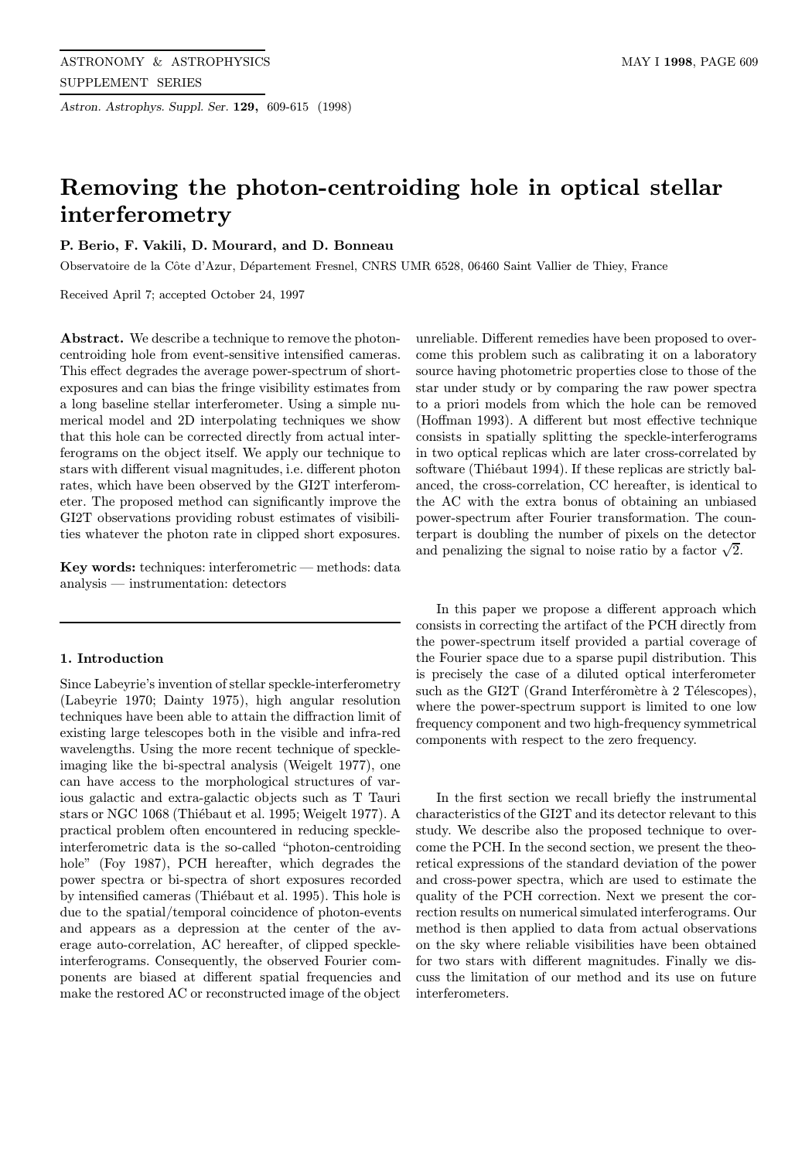Astron. Astrophys. Suppl. Ser. 129, 609-615 (1998)

# Removing the photon-centroiding hole in optical stellar interferometry

# P. Berio, F. Vakili, D. Mourard, and D. Bonneau

Observatoire de la Côte d'Azur, Département Fresnel, CNRS UMR 6528, 06460 Saint Vallier de Thiey, France

Received April 7; accepted October 24, 1997

Abstract. We describe a technique to remove the photoncentroiding hole from event-sensitive intensified cameras. This effect degrades the average power-spectrum of shortexposures and can bias the fringe visibility estimates from a long baseline stellar interferometer. Using a simple numerical model and 2D interpolating techniques we show that this hole can be corrected directly from actual interferograms on the object itself. We apply our technique to stars with different visual magnitudes, i.e. different photon rates, which have been observed by the GI2T interferometer. The proposed method can significantly improve the GI2T observations providing robust estimates of visibilities whatever the photon rate in clipped short exposures.

Key words: techniques: interferometric — methods: data analysis — instrumentation: detectors

## 1. Introduction

Since Labeyrie's invention of stellar speckle-interferometry (Labeyrie 1970; Dainty 1975), high angular resolution techniques have been able to attain the diffraction limit of existing large telescopes both in the visible and infra-red wavelengths. Using the more recent technique of speckleimaging like the bi-spectral analysis (Weigelt 1977), one can have access to the morphological structures of various galactic and extra-galactic objects such as T Tauri stars or NGC 1068 (Thiébaut et al. 1995; Weigelt 1977). A practical problem often encountered in reducing speckleinterferometric data is the so-called "photon-centroiding hole" (Foy 1987), PCH hereafter, which degrades the power spectra or bi-spectra of short exposures recorded by intensified cameras (Thiébaut et al. 1995). This hole is due to the spatial/temporal coincidence of photon-events and appears as a depression at the center of the average auto-correlation, AC hereafter, of clipped speckleinterferograms. Consequently, the observed Fourier components are biased at different spatial frequencies and make the restored AC or reconstructed image of the object

unreliable. Different remedies have been proposed to overcome this problem such as calibrating it on a laboratory source having photometric properties close to those of the star under study or by comparing the raw power spectra to a priori models from which the hole can be removed (Hoffman 1993). A different but most effective technique consists in spatially splitting the speckle-interferograms in two optical replicas which are later cross-correlated by software (Thiébaut 1994). If these replicas are strictly balanced, the cross-correlation, CC hereafter, is identical to the AC with the extra bonus of obtaining an unbiased power-spectrum after Fourier transformation. The counterpart is doubling the number of pixels on the detector and penalizing the signal to noise ratio by a factor  $\sqrt{2}$ .

In this paper we propose a different approach which consists in correcting the artifact of the PCH directly from the power-spectrum itself provided a partial coverage of the Fourier space due to a sparse pupil distribution. This is precisely the case of a diluted optical interferometer such as the GI2T (Grand Interféromètre à 2 Télescopes), where the power-spectrum support is limited to one low frequency component and two high-frequency symmetrical components with respect to the zero frequency.

In the first section we recall briefly the instrumental characteristics of the GI2T and its detector relevant to this study. We describe also the proposed technique to overcome the PCH. In the second section, we present the theoretical expressions of the standard deviation of the power and cross-power spectra, which are used to estimate the quality of the PCH correction. Next we present the correction results on numerical simulated interferograms. Our method is then applied to data from actual observations on the sky where reliable visibilities have been obtained for two stars with different magnitudes. Finally we discuss the limitation of our method and its use on future interferometers.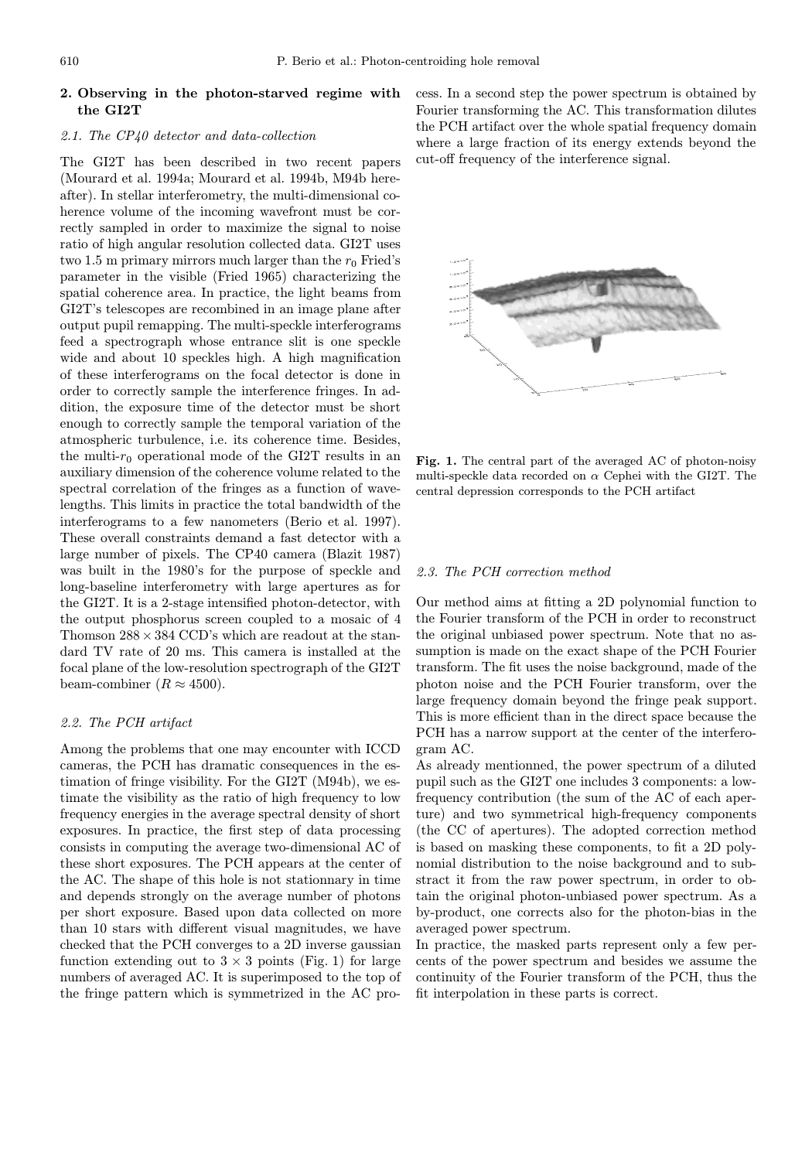## 2. Observing in the photon-starved regime with the GI2T

## 2.1. The CP40 detector and data-collection

The GI2T has been described in two recent papers (Mourard et al. 1994a; Mourard et al. 1994b, M94b hereafter). In stellar interferometry, the multi-dimensional coherence volume of the incoming wavefront must be correctly sampled in order to maximize the signal to noise ratio of high angular resolution collected data. GI2T uses two 1.5 m primary mirrors much larger than the  $r_0$  Fried's parameter in the visible (Fried 1965) characterizing the spatial coherence area. In practice, the light beams from GI2T's telescopes are recombined in an image plane after output pupil remapping. The multi-speckle interferograms feed a spectrograph whose entrance slit is one speckle wide and about 10 speckles high. A high magnification of these interferograms on the focal detector is done in order to correctly sample the interference fringes. In addition, the exposure time of the detector must be short enough to correctly sample the temporal variation of the atmospheric turbulence, i.e. its coherence time. Besides, the multi- $r_0$  operational mode of the GI2T results in an auxiliary dimension of the coherence volume related to the spectral correlation of the fringes as a function of wavelengths. This limits in practice the total bandwidth of the interferograms to a few nanometers (Berio et al. 1997). These overall constraints demand a fast detector with a large number of pixels. The CP40 camera (Blazit 1987) was built in the 1980's for the purpose of speckle and long-baseline interferometry with large apertures as for the GI2T. It is a 2-stage intensified photon-detector, with the output phosphorus screen coupled to a mosaic of 4 Thomson  $288 \times 384$  CCD's which are readout at the standard TV rate of 20 ms. This camera is installed at the focal plane of the low-resolution spectrograph of the GI2T beam-combiner ( $R \approx 4500$ ).

#### 2.2. The PCH artifact

Among the problems that one may encounter with ICCD cameras, the PCH has dramatic consequences in the estimation of fringe visibility. For the GI2T (M94b), we estimate the visibility as the ratio of high frequency to low frequency energies in the average spectral density of short exposures. In practice, the first step of data processing consists in computing the average two-dimensional AC of these short exposures. The PCH appears at the center of the AC. The shape of this hole is not stationnary in time and depends strongly on the average number of photons per short exposure. Based upon data collected on more than 10 stars with different visual magnitudes, we have checked that the PCH converges to a 2D inverse gaussian function extending out to  $3 \times 3$  points (Fig. 1) for large numbers of averaged AC. It is superimposed to the top of the fringe pattern which is symmetrized in the AC process. In a second step the power spectrum is obtained by Fourier transforming the AC. This transformation dilutes the PCH artifact over the whole spatial frequency domain where a large fraction of its energy extends beyond the cut-off frequency of the interference signal.



Fig. 1. The central part of the averaged AC of photon-noisy multi-speckle data recorded on  $\alpha$  Cephei with the GI2T. The central depression corresponds to the PCH artifact

#### 2.3. The PCH correction method

Our method aims at fitting a 2D polynomial function to the Fourier transform of the PCH in order to reconstruct the original unbiased power spectrum. Note that no assumption is made on the exact shape of the PCH Fourier transform. The fit uses the noise background, made of the photon noise and the PCH Fourier transform, over the large frequency domain beyond the fringe peak support. This is more efficient than in the direct space because the PCH has a narrow support at the center of the interferogram AC.

As already mentionned, the power spectrum of a diluted pupil such as the GI2T one includes 3 components: a lowfrequency contribution (the sum of the AC of each aperture) and two symmetrical high-frequency components (the CC of apertures). The adopted correction method is based on masking these components, to fit a 2D polynomial distribution to the noise background and to substract it from the raw power spectrum, in order to obtain the original photon-unbiased power spectrum. As a by-product, one corrects also for the photon-bias in the averaged power spectrum.

In practice, the masked parts represent only a few percents of the power spectrum and besides we assume the continuity of the Fourier transform of the PCH, thus the fit interpolation in these parts is correct.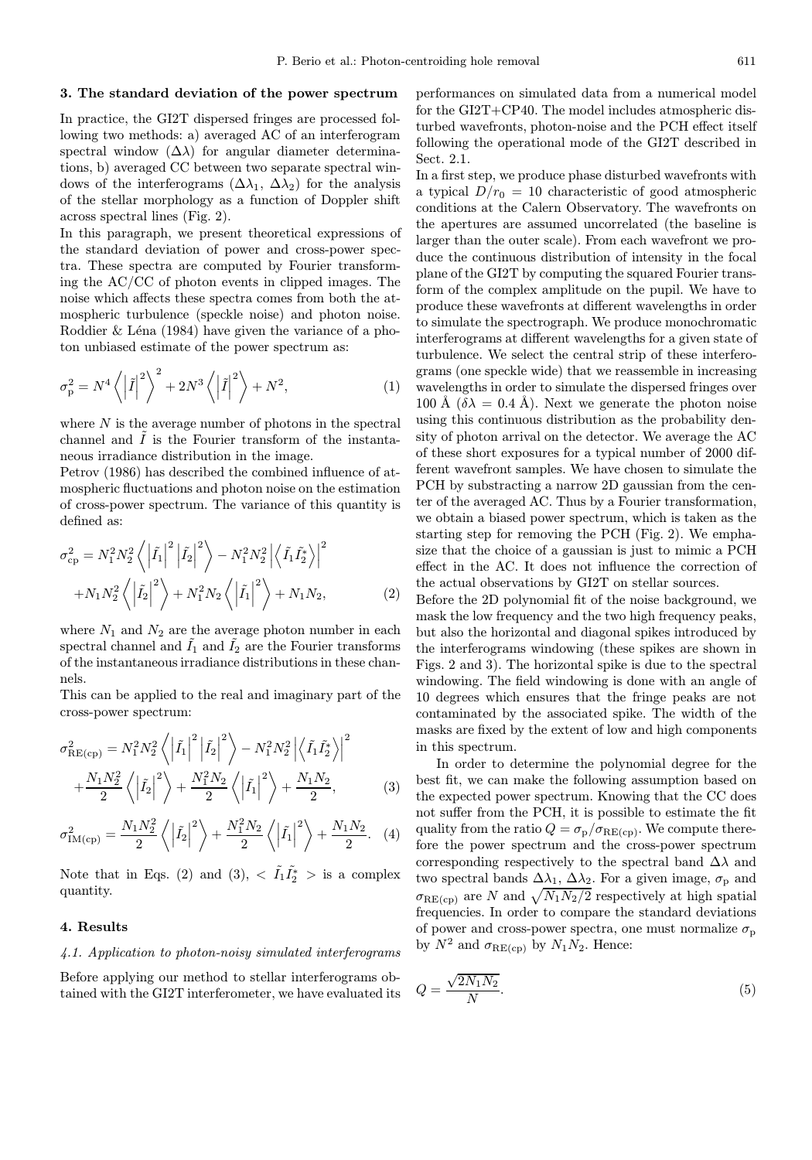#### 3. The standard deviation of the power spectrum

In practice, the GI2T dispersed fringes are processed following two methods: a) averaged AC of an interferogram spectral window  $(\Delta \lambda)$  for angular diameter determinations, b) averaged CC between two separate spectral windows of the interferograms  $(\Delta \lambda_1, \Delta \lambda_2)$  for the analysis of the stellar morphology as a function of Doppler shift across spectral lines (Fig. 2).

In this paragraph, we present theoretical expressions of the standard deviation of power and cross-power spectra. These spectra are computed by Fourier transforming the AC/CC of photon events in clipped images. The noise which affects these spectra comes from both the atmospheric turbulence (speckle noise) and photon noise. Roddier  $\&$  Léna (1984) have given the variance of a photon unbiased estimate of the power spectrum as:

$$
\sigma_{\rm p}^2 = N^4 \left\langle \left| \tilde{I} \right|^2 \right\rangle^2 + 2N^3 \left\langle \left| \tilde{I} \right|^2 \right\rangle + N^2,\tag{1}
$$

where  $N$  is the average number of photons in the spectral channel and  $\tilde{I}$  is the Fourier transform of the instantaneous irradiance distribution in the image.

Petrov (1986) has described the combined influence of atmospheric fluctuations and photon noise on the estimation of cross-power spectrum. The variance of this quantity is defined as:

$$
\sigma_{\rm cp}^2 = N_1^2 N_2^2 \left\langle \left| \tilde{I}_1 \right|^2 \left| \tilde{I}_2 \right|^2 \right\rangle - N_1^2 N_2^2 \left| \left\langle \tilde{I}_1 \tilde{I}_2^* \right\rangle \right|^2
$$

$$
+ N_1 N_2^2 \left\langle \left| \tilde{I}_2 \right|^2 \right\rangle + N_1^2 N_2 \left\langle \left| \tilde{I}_1 \right|^2 \right\rangle + N_1 N_2, \tag{2}
$$

where  $N_1$  and  $N_2$  are the average photon number in each spectral channel and  $\tilde{I}_1$  and  $\tilde{I}_2$  are the Fourier transforms of the instantaneous irradiance distributions in these channels.

This can be applied to the real and imaginary part of the cross-power spectrum:

$$
\sigma_{\text{RE}(cp)}^{2} = N_{1}^{2} N_{2}^{2} \left\langle \left| \tilde{I}_{1} \right|^{2} \left| \tilde{I}_{2} \right|^{2} \right\rangle - N_{1}^{2} N_{2}^{2} \left| \left\langle \tilde{I}_{1} \tilde{I}_{2}^{*} \right\rangle \right|^{2} + \frac{N_{1} N_{2}^{2}}{2} \left\langle \left| \tilde{I}_{2} \right|^{2} \right\rangle + \frac{N_{1}^{2} N_{2}}{2} \left\langle \left| \tilde{I}_{1} \right|^{2} \right\rangle + \frac{N_{1} N_{2}}{2}, \tag{3}
$$

$$
\sigma_{\text{IM(cp)}}^2 = \frac{N_1 N_2^2}{2} \left\langle \left| \tilde{I}_2 \right|^2 \right\rangle + \frac{N_1^2 N_2}{2} \left\langle \left| \tilde{I}_1 \right|^2 \right\rangle + \frac{N_1 N_2}{2} . \tag{4}
$$

Note that in Eqs. (2) and (3),  $\langle \tilde{I}_1 \tilde{I}_2^* \rangle$  is a complex quantity.

#### 4. Results

#### 4.1. Application to photon-noisy simulated interferograms

Before applying our method to stellar interferograms obtained with the GI2T interferometer, we have evaluated its performances on simulated data from a numerical model for the GI2T+CP40. The model includes atmospheric disturbed wavefronts, photon-noise and the PCH effect itself following the operational mode of the GI2T described in Sect. 2.1.

In a first step, we produce phase disturbed wavefronts with a typical  $D/r_0 = 10$  characteristic of good atmospheric conditions at the Calern Observatory. The wavefronts on the apertures are assumed uncorrelated (the baseline is larger than the outer scale). From each wavefront we produce the continuous distribution of intensity in the focal plane of the GI2T by computing the squared Fourier transform of the complex amplitude on the pupil. We have to produce these wavefronts at different wavelengths in order to simulate the spectrograph. We produce monochromatic interferograms at different wavelengths for a given state of turbulence. We select the central strip of these interferograms (one speckle wide) that we reassemble in increasing wavelengths in order to simulate the dispersed fringes over 100 Å  $(\delta \lambda = 0.4 \text{ Å})$ . Next we generate the photon noise using this continuous distribution as the probability density of photon arrival on the detector. We average the AC of these short exposures for a typical number of 2000 different wavefront samples. We have chosen to simulate the PCH by substracting a narrow 2D gaussian from the center of the averaged AC. Thus by a Fourier transformation, we obtain a biased power spectrum, which is taken as the starting step for removing the PCH (Fig. 2). We emphasize that the choice of a gaussian is just to mimic a PCH effect in the AC. It does not influence the correction of the actual observations by GI2T on stellar sources.

Before the 2D polynomial fit of the noise background, we mask the low frequency and the two high frequency peaks, but also the horizontal and diagonal spikes introduced by the interferograms windowing (these spikes are shown in Figs. 2 and 3). The horizontal spike is due to the spectral windowing. The field windowing is done with an angle of 10 degrees which ensures that the fringe peaks are not contaminated by the associated spike. The width of the masks are fixed by the extent of low and high components in this spectrum.

In order to determine the polynomial degree for the best fit, we can make the following assumption based on the expected power spectrum. Knowing that the CC does not suffer from the PCH, it is possible to estimate the fit quality from the ratio  $Q = \sigma_{\rm p}/\sigma_{\rm RE(cp)}$ . We compute therefore the power spectrum and the cross-power spectrum corresponding respectively to the spectral band  $\Delta\lambda$  and two spectral bands  $\Delta\lambda_1$ ,  $\Delta\lambda_2$ . For a given image,  $\sigma_p$  and  $\sigma_{\text{RE(cp)}}$  are N and  $\sqrt{N_1N_2/2}$  respectively at high spatial frequencies. In order to compare the standard deviations of power and cross-power spectra, one must normalize  $\sigma_{\rm p}$ by  $N^2$  and  $\sigma_{\text{RE(cp)}}$  by  $N_1N_2$ . Hence:

$$
Q = \frac{\sqrt{2N_1N_2}}{N}.\tag{5}
$$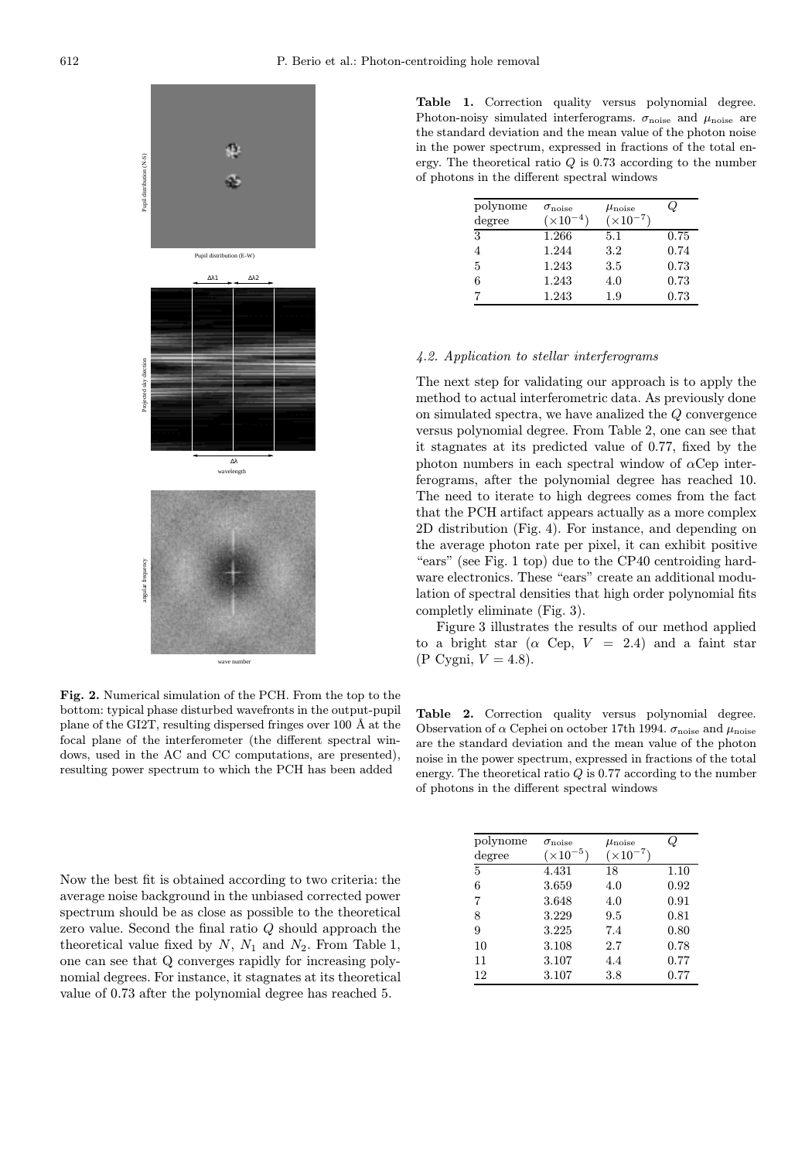

Fig. 2. Numerical simulation of the PCH. From the top to the bottom: typical phase disturbed wavefronts in the output-pupil plane of the GI2T, resulting dispersed fringes over 100 Å at the focal plane of the interferometer (the different spectral windows, used in the AC and CC computations, are presented), resulting power spectrum to which the PCH has been added

Now the best fit is obtained according to two criteria: the average noise background in the unbiased corrected power spectrum should be as close as possible to the theoretical zero value. Second the final ratio Q should approach the theoretical value fixed by  $N$ ,  $N_1$  and  $N_2$ . From Table 1, one can see that Q converges rapidly for increasing polynomial degrees. For instance, it stagnates at its theoretical value of 0.73 after the polynomial degree has reached 5.

Table 1. Correction quality versus polynomial degree. Photon-noisy simulated interferograms.  $\sigma_{\text{noise}}$  and  $\mu_{\text{noise}}$  are the standard deviation and the mean value of the photon noise in the power spectrum, expressed in fractions of the total energy. The theoretical ratio  $Q$  is 0.73 according to the number of photons in the different spectral windows

| polynome<br>degree | $\sigma_{\text{noise}}$<br>$(\times 10^{-4})$ | $\mu_{\rm noise}$<br>$(\times 10^{-7})$ | ω    |
|--------------------|-----------------------------------------------|-----------------------------------------|------|
| 3                  | 1.266                                         | 5.1                                     | 0.75 |
| 4                  | 1.244                                         | 3.2                                     | 0.74 |
| 5                  | 1.243                                         | 3.5                                     | 0.73 |
| 6                  | 1.243                                         | 4.0                                     | 0.73 |
|                    | 1.243                                         | 1.9                                     | 0.73 |

#### 4.2. Application to stellar interferograms

The next step for validating our approach is to apply the method to actual interferometric data. As previously done on simulated spectra, we have analized the Q convergence versus polynomial degree. From Table 2, one can see that it stagnates at its predicted value of 0.77, fixed by the photon numbers in each spectral window of  $\alpha$ Cep interferograms, after the polynomial degree has reached 10. The need to iterate to high degrees comes from the fact that the PCH artifact appears actually as a more complex 2D distribution (Fig. 4). For instance, and depending on the average photon rate per pixel, it can exhibit positive "ears" (see Fig. 1 top) due to the CP40 centroiding hardware electronics. These "ears" create an additional modulation of spectral densities that high order polynomial fits completly eliminate (Fig. 3).

Figure 3 illustrates the results of our method applied to a bright star ( $\alpha$  Cep,  $V = 2.4$ ) and a faint star  $(P \text{ Cygni}, V = 4.8).$ 

Table 2. Correction quality versus polynomial degree. Observation of  $\alpha$  Cephei on october 17th 1994.  $\sigma_{\text{noise}}$  and  $\mu_{\text{noise}}$ are the standard deviation and the mean value of the photon noise in the power spectrum, expressed in fractions of the total energy. The theoretical ratio  $Q$  is 0.77 according to the number of photons in the different spectral windows

| polynome | $\sigma_{\rm noise}$ | $\mu_{\rm noise}$  |      |
|----------|----------------------|--------------------|------|
| degree   | $(\times 10^{-5})$   | $(\times 10^{-7})$ |      |
| 5        | 4.431                | 18                 | 1.10 |
| 6        | 3.659                | 4.0                | 0.92 |
| 7        | 3.648                | 4.0                | 0.91 |
| 8        | 3.229                | 9.5                | 0.81 |
| 9        | 3.225                | 7.4                | 0.80 |
| 10       | 3.108                | 2.7                | 0.78 |
| 11       | 3.107                | 4.4                | 0.77 |
| 12       | 3.107                | $3.8\,$            | 0.77 |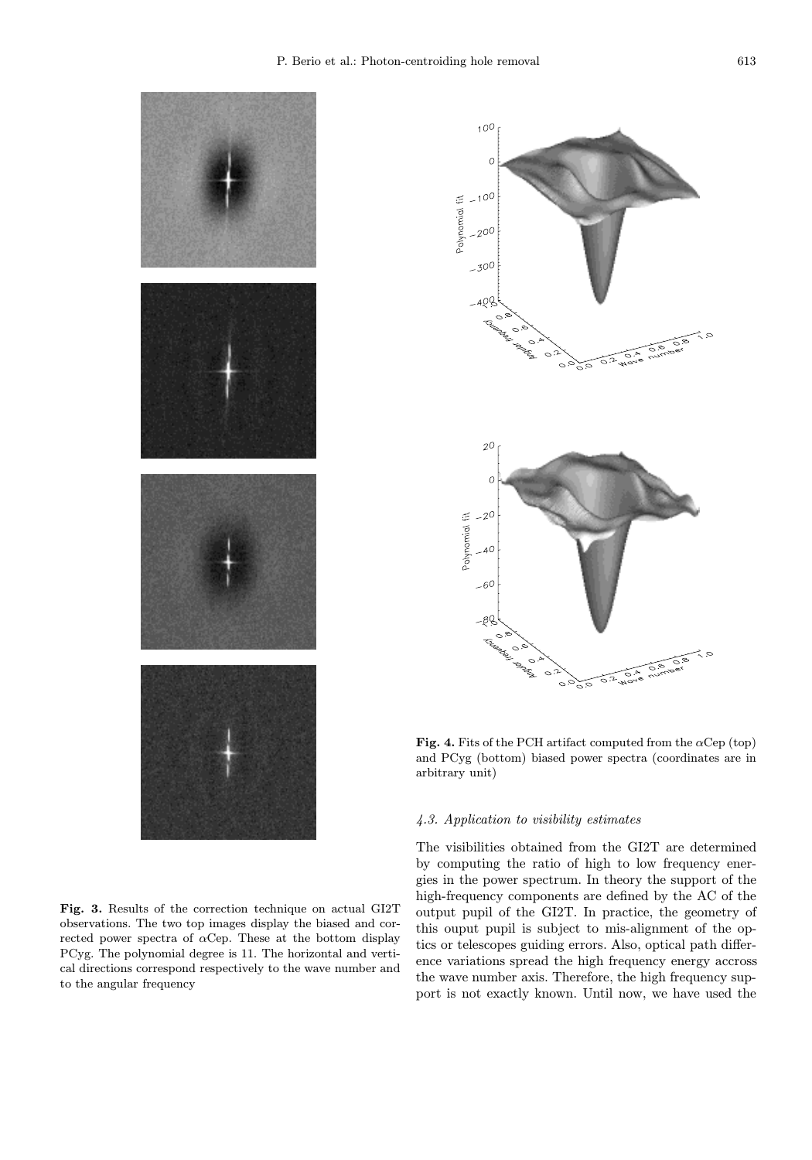

Fig. 3. Results of the correction technique on actual GI2T observations. The two top images display the biased and corrected power spectra of  $\alpha$ Cep. These at the bottom display PCyg. The polynomial degree is 11. The horizontal and vertical directions correspond respectively to the wave number and to the angular frequency



Fig. 4. Fits of the PCH artifact computed from the  $\alpha$ Cep (top) and PCyg (bottom) biased power spectra (coordinates are in arbitrary unit)

#### 4.3. Application to visibility estimates

The visibilities obtained from the GI2T are determined by computing the ratio of high to low frequency energies in the power spectrum. In theory the support of the high-frequency components are defined by the AC of the output pupil of the GI2T. In practice, the geometry of this ouput pupil is subject to mis-alignment of the optics or telescopes guiding errors. Also, optical path difference variations spread the high frequency energy accross the wave number axis. Therefore, the high frequency support is not exactly known. Until now, we have used the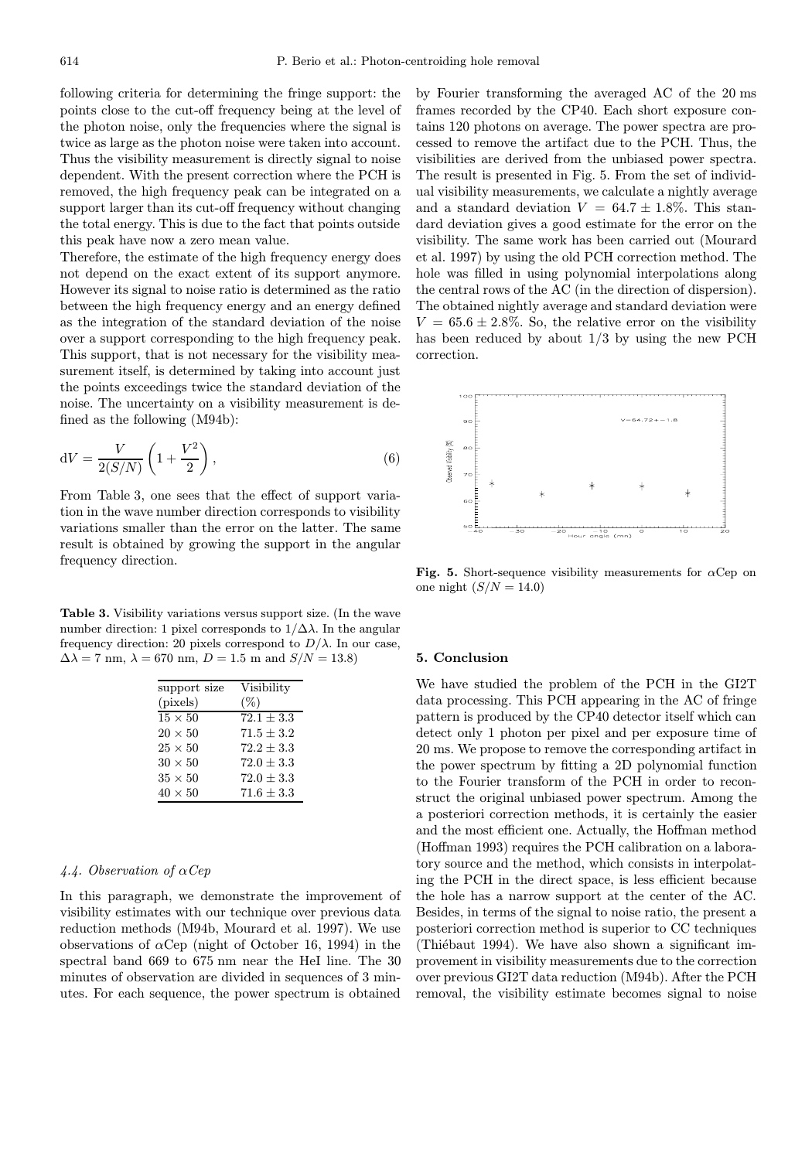following criteria for determining the fringe support: the points close to the cut-off frequency being at the level of the photon noise, only the frequencies where the signal is twice as large as the photon noise were taken into account. Thus the visibility measurement is directly signal to noise dependent. With the present correction where the PCH is removed, the high frequency peak can be integrated on a support larger than its cut-off frequency without changing the total energy. This is due to the fact that points outside this peak have now a zero mean value.

Therefore, the estimate of the high frequency energy does not depend on the exact extent of its support anymore. However its signal to noise ratio is determined as the ratio between the high frequency energy and an energy defined as the integration of the standard deviation of the noise over a support corresponding to the high frequency peak. This support, that is not necessary for the visibility measurement itself, is determined by taking into account just the points exceedings twice the standard deviation of the noise. The uncertainty on a visibility measurement is defined as the following (M94b):

$$
dV = \frac{V}{2(S/N)} \left( 1 + \frac{V^2}{2} \right),\tag{6}
$$

From Table 3, one sees that the effect of support variation in the wave number direction corresponds to visibility variations smaller than the error on the latter. The same result is obtained by growing the support in the angular frequency direction.

Table 3. Visibility variations versus support size. (In the wave number direction: 1 pixel corresponds to  $1/\Delta\lambda$ . In the angular frequency direction: 20 pixels correspond to  $D/\lambda$ . In our case,  $\Delta\lambda = 7$  nm,  $\lambda = 670$  nm,  $D = 1.5$  m and  $S/N = 13.8$ )

| support size   | Visibility     |
|----------------|----------------|
| (pixels)       | $(\%)$         |
| $15 \times 50$ | $72.1 \pm 3.3$ |
| $20 \times 50$ | $71.5 + 3.2$   |
| $25 \times 50$ | $72.2 + 3.3$   |
| $30 \times 50$ | $72.0 + 3.3$   |
| $35 \times 50$ | $72.0 + 3.3$   |
| $40 \times 50$ | $71.6 + 3.3$   |
|                |                |

### 4.4. Observation of  $\alpha Cep$

In this paragraph, we demonstrate the improvement of visibility estimates with our technique over previous data reduction methods (M94b, Mourard et al. 1997). We use observations of  $\alpha$ Cep (night of October 16, 1994) in the spectral band 669 to 675 nm near the HeI line. The 30 minutes of observation are divided in sequences of 3 minutes. For each sequence, the power spectrum is obtained

by Fourier transforming the averaged AC of the 20 ms frames recorded by the CP40. Each short exposure contains 120 photons on average. The power spectra are processed to remove the artifact due to the PCH. Thus, the visibilities are derived from the unbiased power spectra. The result is presented in Fig. 5. From the set of individual visibility measurements, we calculate a nightly average and a standard deviation  $V = 64.7 \pm 1.8\%$ . This standard deviation gives a good estimate for the error on the visibility. The same work has been carried out (Mourard et al. 1997) by using the old PCH correction method. The hole was filled in using polynomial interpolations along the central rows of the AC (in the direction of dispersion). The obtained nightly average and standard deviation were  $V = 65.6 \pm 2.8\%$ . So, the relative error on the visibility has been reduced by about 1/3 by using the new PCH correction.



Fig. 5. Short-sequence visibility measurements for  $\alpha$ Cep on one night  $(S/N = 14.0)$ 

#### 5. Conclusion

We have studied the problem of the PCH in the GI2T data processing. This PCH appearing in the AC of fringe pattern is produced by the CP40 detector itself which can detect only 1 photon per pixel and per exposure time of 20 ms. We propose to remove the corresponding artifact in the power spectrum by fitting a 2D polynomial function to the Fourier transform of the PCH in order to reconstruct the original unbiased power spectrum. Among the a posteriori correction methods, it is certainly the easier and the most efficient one. Actually, the Hoffman method (Hoffman 1993) requires the PCH calibration on a laboratory source and the method, which consists in interpolating the PCH in the direct space, is less efficient because the hole has a narrow support at the center of the AC. Besides, in terms of the signal to noise ratio, the present a posteriori correction method is superior to CC techniques (Thiébaut 1994). We have also shown a significant improvement in visibility measurements due to the correction over previous GI2T data reduction (M94b). After the PCH removal, the visibility estimate becomes signal to noise